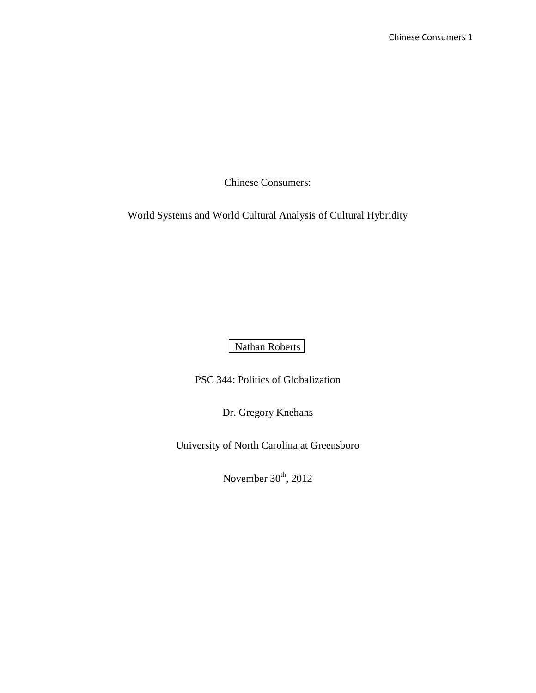World Systems and World Cultural Analysis of Cultural Hybridity

[Nathan Roberts](http://libres.uncg.edu/ir/clist.aspx?id=4834)

PSC 344: Politics of Globalization

Dr. Gregory Knehans

University of North Carolina at Greensboro

November  $30<sup>th</sup>$ , 2012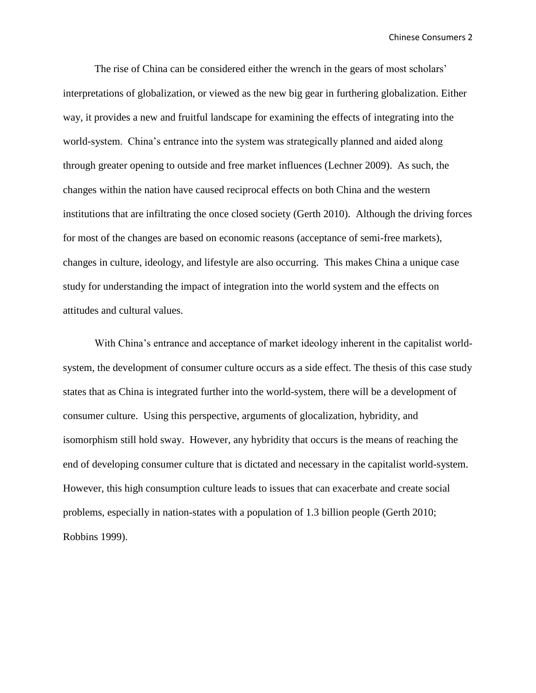The rise of China can be considered either the wrench in the gears of most scholars' interpretations of globalization, or viewed as the new big gear in furthering globalization. Either way, it provides a new and fruitful landscape for examining the effects of integrating into the world-system. China's entrance into the system was strategically planned and aided along through greater opening to outside and free market influences (Lechner 2009). As such, the changes within the nation have caused reciprocal effects on both China and the western institutions that are infiltrating the once closed society (Gerth 2010). Although the driving forces for most of the changes are based on economic reasons (acceptance of semi-free markets), changes in culture, ideology, and lifestyle are also occurring. This makes China a unique case study for understanding the impact of integration into the world system and the effects on attitudes and cultural values.

With China's entrance and acceptance of market ideology inherent in the capitalist worldsystem, the development of consumer culture occurs as a side effect. The thesis of this case study states that as China is integrated further into the world-system, there will be a development of consumer culture. Using this perspective, arguments of glocalization, hybridity, and isomorphism still hold sway. However, any hybridity that occurs is the means of reaching the end of developing consumer culture that is dictated and necessary in the capitalist world-system. However, this high consumption culture leads to issues that can exacerbate and create social problems, especially in nation-states with a population of 1.3 billion people (Gerth 2010; Robbins 1999).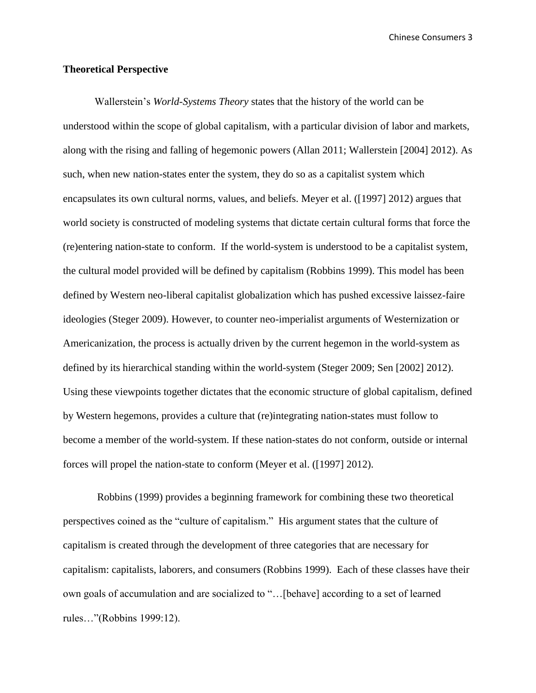### **Theoretical Perspective**

Wallerstein's *World-Systems Theory* states that the history of the world can be understood within the scope of global capitalism, with a particular division of labor and markets, along with the rising and falling of hegemonic powers (Allan 2011; Wallerstein [2004] 2012). As such, when new nation-states enter the system, they do so as a capitalist system which encapsulates its own cultural norms, values, and beliefs. Meyer et al. ([1997] 2012) argues that world society is constructed of modeling systems that dictate certain cultural forms that force the (re)entering nation-state to conform. If the world-system is understood to be a capitalist system, the cultural model provided will be defined by capitalism (Robbins 1999). This model has been defined by Western neo-liberal capitalist globalization which has pushed excessive laissez-faire ideologies (Steger 2009). However, to counter neo-imperialist arguments of Westernization or Americanization, the process is actually driven by the current hegemon in the world-system as defined by its hierarchical standing within the world-system (Steger 2009; Sen [2002] 2012). Using these viewpoints together dictates that the economic structure of global capitalism, defined by Western hegemons, provides a culture that (re)integrating nation-states must follow to become a member of the world-system. If these nation-states do not conform, outside or internal forces will propel the nation-state to conform (Meyer et al. ([1997] 2012).

Robbins (1999) provides a beginning framework for combining these two theoretical perspectives coined as the "culture of capitalism." His argument states that the culture of capitalism is created through the development of three categories that are necessary for capitalism: capitalists, laborers, and consumers (Robbins 1999). Each of these classes have their own goals of accumulation and are socialized to "…[behave] according to a set of learned rules…"(Robbins 1999:12).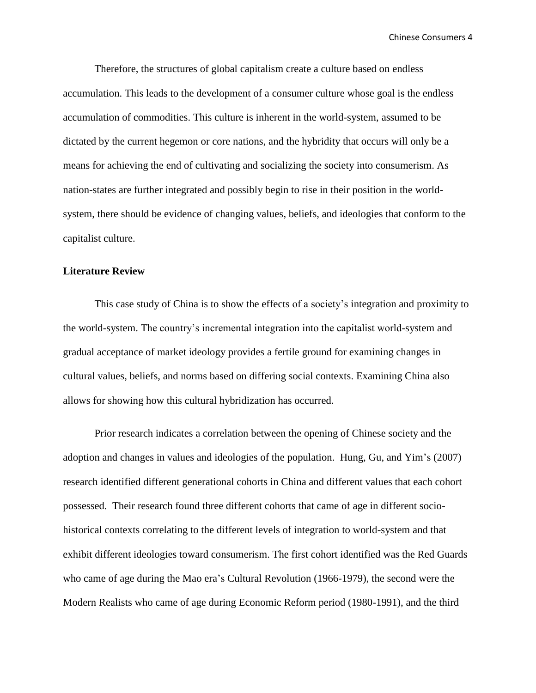Therefore, the structures of global capitalism create a culture based on endless accumulation. This leads to the development of a consumer culture whose goal is the endless accumulation of commodities. This culture is inherent in the world-system, assumed to be dictated by the current hegemon or core nations, and the hybridity that occurs will only be a means for achieving the end of cultivating and socializing the society into consumerism. As nation-states are further integrated and possibly begin to rise in their position in the worldsystem, there should be evidence of changing values, beliefs, and ideologies that conform to the capitalist culture.

# **Literature Review**

This case study of China is to show the effects of a society's integration and proximity to the world-system. The country's incremental integration into the capitalist world-system and gradual acceptance of market ideology provides a fertile ground for examining changes in cultural values, beliefs, and norms based on differing social contexts. Examining China also allows for showing how this cultural hybridization has occurred.

Prior research indicates a correlation between the opening of Chinese society and the adoption and changes in values and ideologies of the population. Hung, Gu, and Yim's (2007) research identified different generational cohorts in China and different values that each cohort possessed. Their research found three different cohorts that came of age in different sociohistorical contexts correlating to the different levels of integration to world-system and that exhibit different ideologies toward consumerism. The first cohort identified was the Red Guards who came of age during the Mao era's Cultural Revolution (1966-1979), the second were the Modern Realists who came of age during Economic Reform period (1980-1991), and the third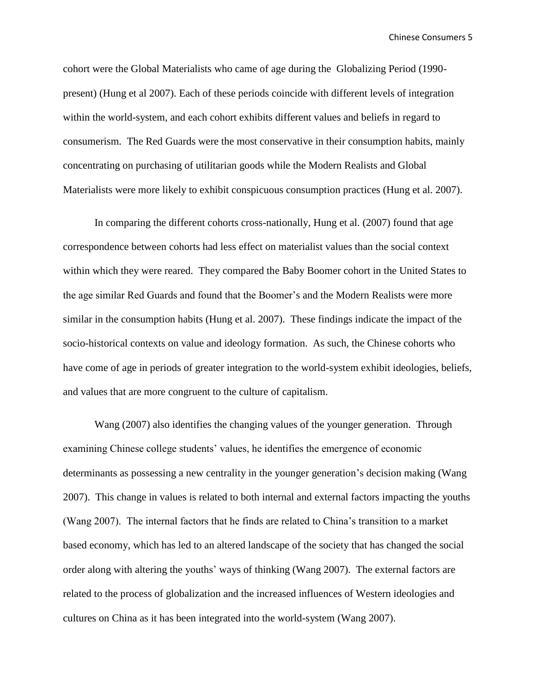cohort were the Global Materialists who came of age during the Globalizing Period (1990 present) (Hung et al 2007). Each of these periods coincide with different levels of integration within the world-system, and each cohort exhibits different values and beliefs in regard to consumerism. The Red Guards were the most conservative in their consumption habits, mainly concentrating on purchasing of utilitarian goods while the Modern Realists and Global Materialists were more likely to exhibit conspicuous consumption practices (Hung et al. 2007).

In comparing the different cohorts cross-nationally, Hung et al. (2007) found that age correspondence between cohorts had less effect on materialist values than the social context within which they were reared. They compared the Baby Boomer cohort in the United States to the age similar Red Guards and found that the Boomer's and the Modern Realists were more similar in the consumption habits (Hung et al. 2007). These findings indicate the impact of the socio-historical contexts on value and ideology formation. As such, the Chinese cohorts who have come of age in periods of greater integration to the world-system exhibit ideologies, beliefs, and values that are more congruent to the culture of capitalism.

Wang (2007) also identifies the changing values of the younger generation. Through examining Chinese college students' values, he identifies the emergence of economic determinants as possessing a new centrality in the younger generation's decision making (Wang 2007). This change in values is related to both internal and external factors impacting the youths (Wang 2007). The internal factors that he finds are related to China's transition to a market based economy, which has led to an altered landscape of the society that has changed the social order along with altering the youths' ways of thinking (Wang 2007). The external factors are related to the process of globalization and the increased influences of Western ideologies and cultures on China as it has been integrated into the world-system (Wang 2007).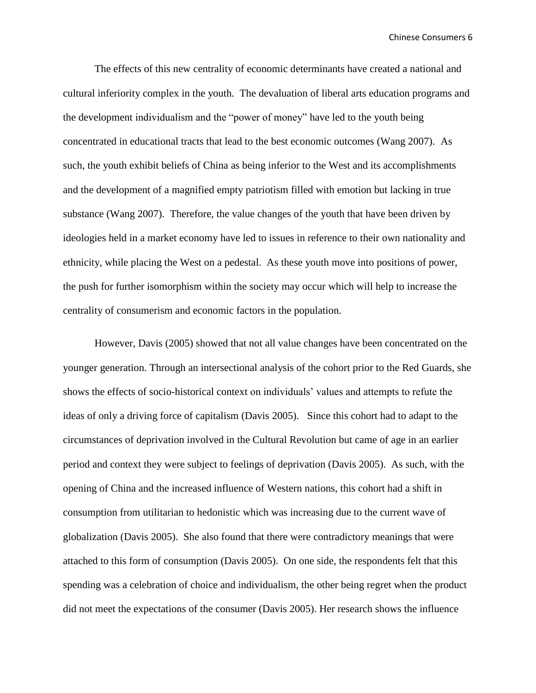The effects of this new centrality of economic determinants have created a national and cultural inferiority complex in the youth. The devaluation of liberal arts education programs and the development individualism and the "power of money" have led to the youth being concentrated in educational tracts that lead to the best economic outcomes (Wang 2007). As such, the youth exhibit beliefs of China as being inferior to the West and its accomplishments and the development of a magnified empty patriotism filled with emotion but lacking in true substance (Wang 2007). Therefore, the value changes of the youth that have been driven by ideologies held in a market economy have led to issues in reference to their own nationality and ethnicity, while placing the West on a pedestal. As these youth move into positions of power, the push for further isomorphism within the society may occur which will help to increase the centrality of consumerism and economic factors in the population.

However, Davis (2005) showed that not all value changes have been concentrated on the younger generation. Through an intersectional analysis of the cohort prior to the Red Guards, she shows the effects of socio-historical context on individuals' values and attempts to refute the ideas of only a driving force of capitalism (Davis 2005). Since this cohort had to adapt to the circumstances of deprivation involved in the Cultural Revolution but came of age in an earlier period and context they were subject to feelings of deprivation (Davis 2005). As such, with the opening of China and the increased influence of Western nations, this cohort had a shift in consumption from utilitarian to hedonistic which was increasing due to the current wave of globalization (Davis 2005). She also found that there were contradictory meanings that were attached to this form of consumption (Davis 2005). On one side, the respondents felt that this spending was a celebration of choice and individualism, the other being regret when the product did not meet the expectations of the consumer (Davis 2005). Her research shows the influence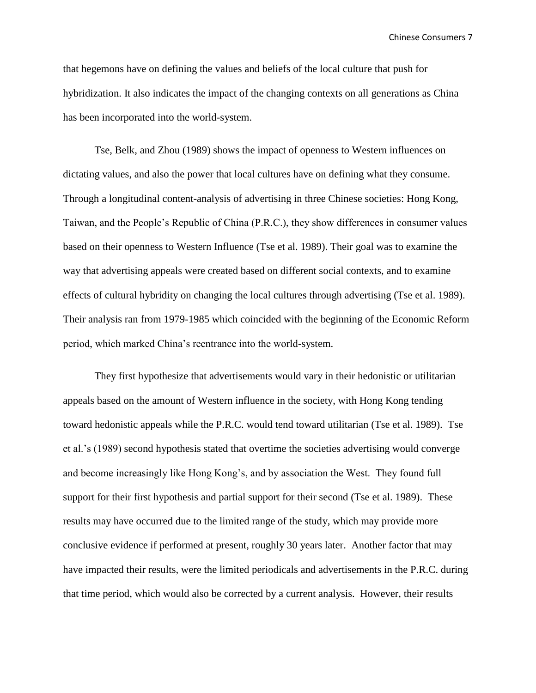that hegemons have on defining the values and beliefs of the local culture that push for hybridization. It also indicates the impact of the changing contexts on all generations as China has been incorporated into the world-system.

Tse, Belk, and Zhou (1989) shows the impact of openness to Western influences on dictating values, and also the power that local cultures have on defining what they consume. Through a longitudinal content-analysis of advertising in three Chinese societies: Hong Kong, Taiwan, and the People's Republic of China (P.R.C.), they show differences in consumer values based on their openness to Western Influence (Tse et al. 1989). Their goal was to examine the way that advertising appeals were created based on different social contexts, and to examine effects of cultural hybridity on changing the local cultures through advertising (Tse et al. 1989). Their analysis ran from 1979-1985 which coincided with the beginning of the Economic Reform period, which marked China's reentrance into the world-system.

They first hypothesize that advertisements would vary in their hedonistic or utilitarian appeals based on the amount of Western influence in the society, with Hong Kong tending toward hedonistic appeals while the P.R.C. would tend toward utilitarian (Tse et al. 1989). Tse et al.'s (1989) second hypothesis stated that overtime the societies advertising would converge and become increasingly like Hong Kong's, and by association the West. They found full support for their first hypothesis and partial support for their second (Tse et al. 1989). These results may have occurred due to the limited range of the study, which may provide more conclusive evidence if performed at present, roughly 30 years later. Another factor that may have impacted their results, were the limited periodicals and advertisements in the P.R.C. during that time period, which would also be corrected by a current analysis. However, their results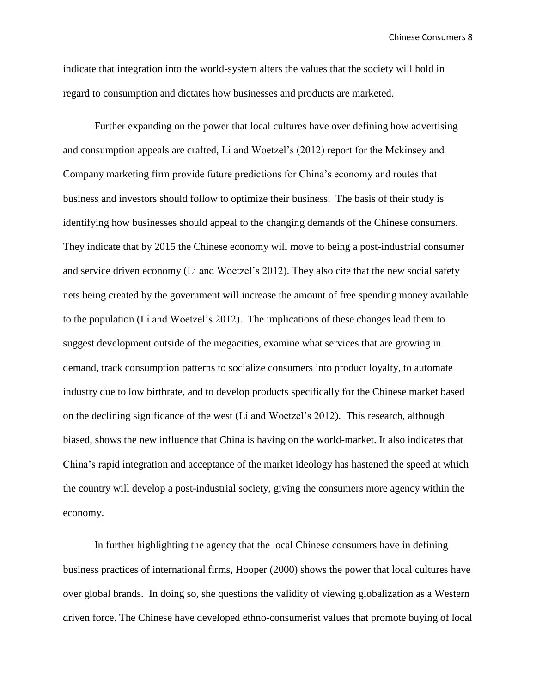indicate that integration into the world-system alters the values that the society will hold in regard to consumption and dictates how businesses and products are marketed.

Further expanding on the power that local cultures have over defining how advertising and consumption appeals are crafted, Li and Woetzel's (2012) report for the Mckinsey and Company marketing firm provide future predictions for China's economy and routes that business and investors should follow to optimize their business. The basis of their study is identifying how businesses should appeal to the changing demands of the Chinese consumers. They indicate that by 2015 the Chinese economy will move to being a post-industrial consumer and service driven economy (Li and Woetzel's 2012). They also cite that the new social safety nets being created by the government will increase the amount of free spending money available to the population (Li and Woetzel's 2012). The implications of these changes lead them to suggest development outside of the megacities, examine what services that are growing in demand, track consumption patterns to socialize consumers into product loyalty, to automate industry due to low birthrate, and to develop products specifically for the Chinese market based on the declining significance of the west (Li and Woetzel's 2012). This research, although biased, shows the new influence that China is having on the world-market. It also indicates that China's rapid integration and acceptance of the market ideology has hastened the speed at which the country will develop a post-industrial society, giving the consumers more agency within the economy.

In further highlighting the agency that the local Chinese consumers have in defining business practices of international firms, Hooper (2000) shows the power that local cultures have over global brands. In doing so, she questions the validity of viewing globalization as a Western driven force. The Chinese have developed ethno-consumerist values that promote buying of local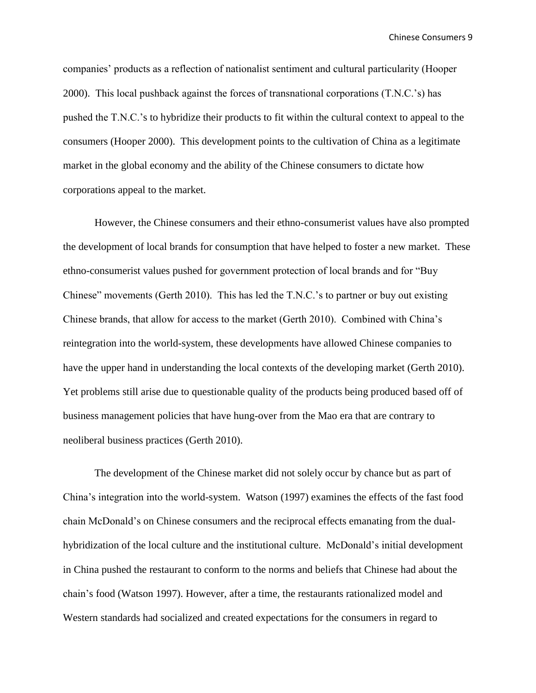companies' products as a reflection of nationalist sentiment and cultural particularity (Hooper 2000). This local pushback against the forces of transnational corporations (T.N.C.'s) has pushed the T.N.C.'s to hybridize their products to fit within the cultural context to appeal to the consumers (Hooper 2000). This development points to the cultivation of China as a legitimate market in the global economy and the ability of the Chinese consumers to dictate how corporations appeal to the market.

However, the Chinese consumers and their ethno-consumerist values have also prompted the development of local brands for consumption that have helped to foster a new market. These ethno-consumerist values pushed for government protection of local brands and for "Buy Chinese" movements (Gerth 2010). This has led the T.N.C.'s to partner or buy out existing Chinese brands, that allow for access to the market (Gerth 2010). Combined with China's reintegration into the world-system, these developments have allowed Chinese companies to have the upper hand in understanding the local contexts of the developing market (Gerth 2010). Yet problems still arise due to questionable quality of the products being produced based off of business management policies that have hung-over from the Mao era that are contrary to neoliberal business practices (Gerth 2010).

The development of the Chinese market did not solely occur by chance but as part of China's integration into the world-system. Watson (1997) examines the effects of the fast food chain McDonald's on Chinese consumers and the reciprocal effects emanating from the dualhybridization of the local culture and the institutional culture. McDonald's initial development in China pushed the restaurant to conform to the norms and beliefs that Chinese had about the chain's food (Watson 1997). However, after a time, the restaurants rationalized model and Western standards had socialized and created expectations for the consumers in regard to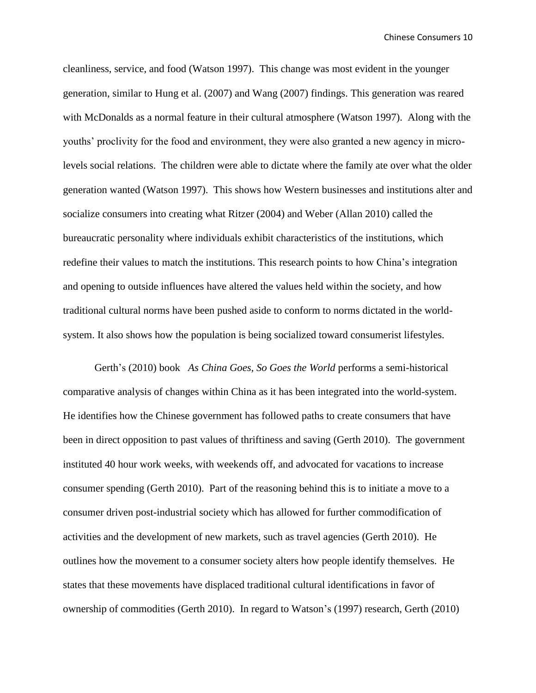cleanliness, service, and food (Watson 1997). This change was most evident in the younger generation, similar to Hung et al. (2007) and Wang (2007) findings. This generation was reared with McDonalds as a normal feature in their cultural atmosphere (Watson 1997). Along with the youths' proclivity for the food and environment, they were also granted a new agency in microlevels social relations. The children were able to dictate where the family ate over what the older generation wanted (Watson 1997). This shows how Western businesses and institutions alter and socialize consumers into creating what Ritzer (2004) and Weber (Allan 2010) called the bureaucratic personality where individuals exhibit characteristics of the institutions, which redefine their values to match the institutions. This research points to how China's integration and opening to outside influences have altered the values held within the society, and how traditional cultural norms have been pushed aside to conform to norms dictated in the worldsystem. It also shows how the population is being socialized toward consumerist lifestyles.

Gerth's (2010) book *As China Goes, So Goes the World* performs a semi-historical comparative analysis of changes within China as it has been integrated into the world-system. He identifies how the Chinese government has followed paths to create consumers that have been in direct opposition to past values of thriftiness and saving (Gerth 2010). The government instituted 40 hour work weeks, with weekends off, and advocated for vacations to increase consumer spending (Gerth 2010). Part of the reasoning behind this is to initiate a move to a consumer driven post-industrial society which has allowed for further commodification of activities and the development of new markets, such as travel agencies (Gerth 2010). He outlines how the movement to a consumer society alters how people identify themselves. He states that these movements have displaced traditional cultural identifications in favor of ownership of commodities (Gerth 2010). In regard to Watson's (1997) research, Gerth (2010)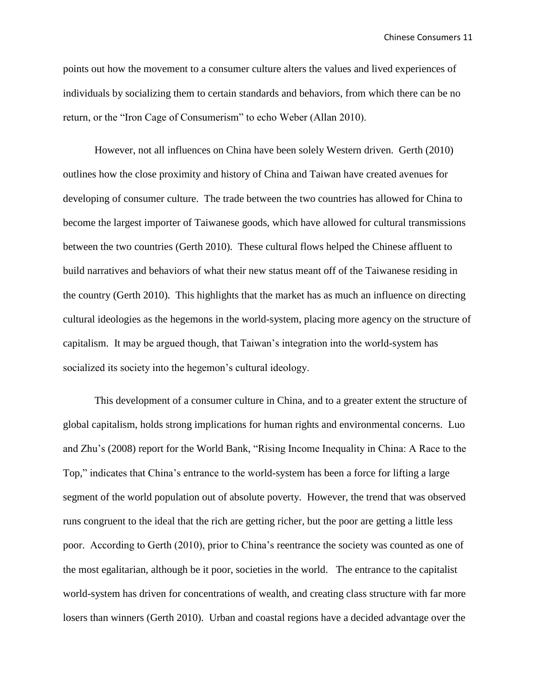points out how the movement to a consumer culture alters the values and lived experiences of individuals by socializing them to certain standards and behaviors, from which there can be no return, or the "Iron Cage of Consumerism" to echo Weber (Allan 2010).

However, not all influences on China have been solely Western driven. Gerth (2010) outlines how the close proximity and history of China and Taiwan have created avenues for developing of consumer culture. The trade between the two countries has allowed for China to become the largest importer of Taiwanese goods, which have allowed for cultural transmissions between the two countries (Gerth 2010). These cultural flows helped the Chinese affluent to build narratives and behaviors of what their new status meant off of the Taiwanese residing in the country (Gerth 2010). This highlights that the market has as much an influence on directing cultural ideologies as the hegemons in the world-system, placing more agency on the structure of capitalism. It may be argued though, that Taiwan's integration into the world-system has socialized its society into the hegemon's cultural ideology.

This development of a consumer culture in China, and to a greater extent the structure of global capitalism, holds strong implications for human rights and environmental concerns. Luo and Zhu's (2008) report for the World Bank, "Rising Income Inequality in China: A Race to the Top," indicates that China's entrance to the world-system has been a force for lifting a large segment of the world population out of absolute poverty. However, the trend that was observed runs congruent to the ideal that the rich are getting richer, but the poor are getting a little less poor. According to Gerth (2010), prior to China's reentrance the society was counted as one of the most egalitarian, although be it poor, societies in the world. The entrance to the capitalist world-system has driven for concentrations of wealth, and creating class structure with far more losers than winners (Gerth 2010). Urban and coastal regions have a decided advantage over the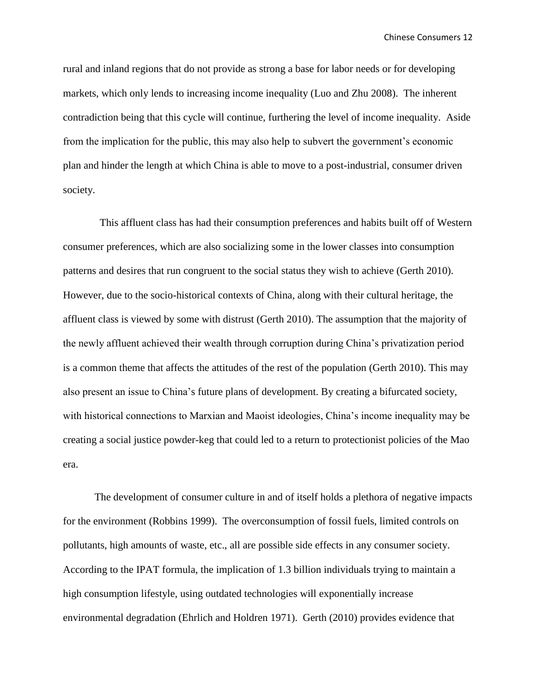rural and inland regions that do not provide as strong a base for labor needs or for developing markets, which only lends to increasing income inequality (Luo and Zhu 2008). The inherent contradiction being that this cycle will continue, furthering the level of income inequality. Aside from the implication for the public, this may also help to subvert the government's economic plan and hinder the length at which China is able to move to a post-industrial, consumer driven society.

 This affluent class has had their consumption preferences and habits built off of Western consumer preferences, which are also socializing some in the lower classes into consumption patterns and desires that run congruent to the social status they wish to achieve (Gerth 2010). However, due to the socio-historical contexts of China, along with their cultural heritage, the affluent class is viewed by some with distrust (Gerth 2010). The assumption that the majority of the newly affluent achieved their wealth through corruption during China's privatization period is a common theme that affects the attitudes of the rest of the population (Gerth 2010). This may also present an issue to China's future plans of development. By creating a bifurcated society, with historical connections to Marxian and Maoist ideologies, China's income inequality may be creating a social justice powder-keg that could led to a return to protectionist policies of the Mao era.

The development of consumer culture in and of itself holds a plethora of negative impacts for the environment (Robbins 1999). The overconsumption of fossil fuels, limited controls on pollutants, high amounts of waste, etc., all are possible side effects in any consumer society. According to the IPAT formula, the implication of 1.3 billion individuals trying to maintain a high consumption lifestyle, using outdated technologies will exponentially increase environmental degradation (Ehrlich and Holdren 1971). Gerth (2010) provides evidence that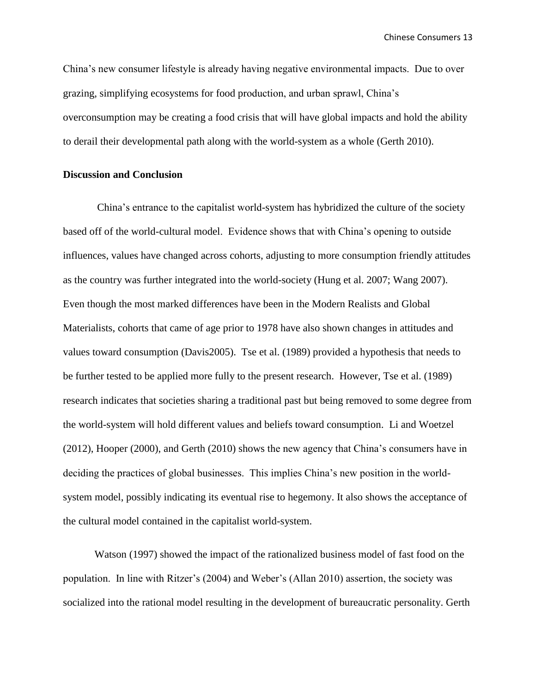China's new consumer lifestyle is already having negative environmental impacts. Due to over grazing, simplifying ecosystems for food production, and urban sprawl, China's overconsumption may be creating a food crisis that will have global impacts and hold the ability to derail their developmental path along with the world-system as a whole (Gerth 2010).

### **Discussion and Conclusion**

China's entrance to the capitalist world-system has hybridized the culture of the society based off of the world-cultural model. Evidence shows that with China's opening to outside influences, values have changed across cohorts, adjusting to more consumption friendly attitudes as the country was further integrated into the world-society (Hung et al. 2007; Wang 2007). Even though the most marked differences have been in the Modern Realists and Global Materialists, cohorts that came of age prior to 1978 have also shown changes in attitudes and values toward consumption (Davis2005). Tse et al. (1989) provided a hypothesis that needs to be further tested to be applied more fully to the present research. However, Tse et al. (1989) research indicates that societies sharing a traditional past but being removed to some degree from the world-system will hold different values and beliefs toward consumption. Li and Woetzel (2012), Hooper (2000), and Gerth (2010) shows the new agency that China's consumers have in deciding the practices of global businesses. This implies China's new position in the worldsystem model, possibly indicating its eventual rise to hegemony. It also shows the acceptance of the cultural model contained in the capitalist world-system.

Watson (1997) showed the impact of the rationalized business model of fast food on the population. In line with Ritzer's (2004) and Weber's (Allan 2010) assertion, the society was socialized into the rational model resulting in the development of bureaucratic personality. Gerth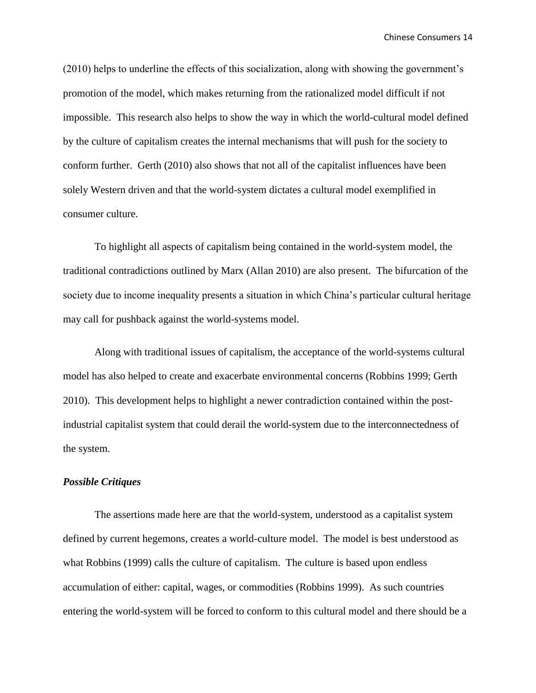(2010) helps to underline the effects of this socialization, along with showing the government's promotion of the model, which makes returning from the rationalized model difficult if not impossible. This research also helps to show the way in which the world-cultural model defined by the culture of capitalism creates the internal mechanisms that will push for the society to conform further. Gerth (2010) also shows that not all of the capitalist influences have been solely Western driven and that the world-system dictates a cultural model exemplified in consumer culture.

To highlight all aspects of capitalism being contained in the world-system model, the traditional contradictions outlined by Marx (Allan 2010) are also present. The bifurcation of the society due to income inequality presents a situation in which China's particular cultural heritage may call for pushback against the world-systems model.

Along with traditional issues of capitalism, the acceptance of the world-systems cultural model has also helped to create and exacerbate environmental concerns (Robbins 1999; Gerth 2010). This development helps to highlight a newer contradiction contained within the postindustrial capitalist system that could derail the world-system due to the interconnectedness of the system.

#### *Possible Critiques*

The assertions made here are that the world-system, understood as a capitalist system defined by current hegemons, creates a world-culture model. The model is best understood as what Robbins (1999) calls the culture of capitalism. The culture is based upon endless accumulation of either: capital, wages, or commodities (Robbins 1999). As such countries entering the world-system will be forced to conform to this cultural model and there should be a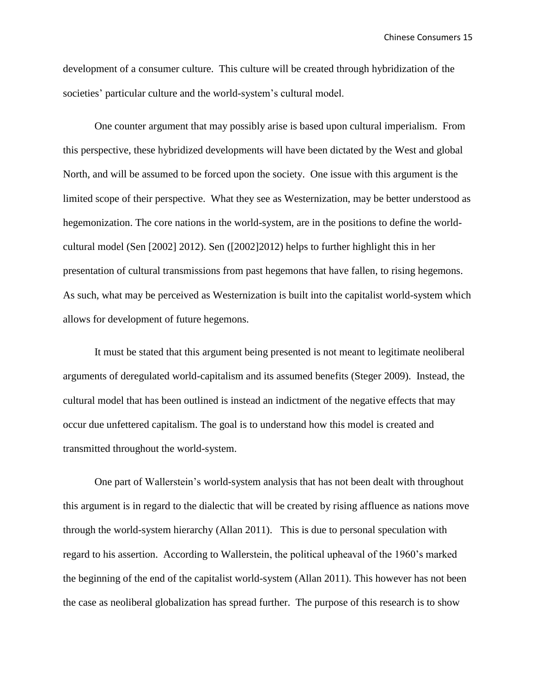development of a consumer culture. This culture will be created through hybridization of the societies' particular culture and the world-system's cultural model.

One counter argument that may possibly arise is based upon cultural imperialism. From this perspective, these hybridized developments will have been dictated by the West and global North, and will be assumed to be forced upon the society. One issue with this argument is the limited scope of their perspective. What they see as Westernization, may be better understood as hegemonization. The core nations in the world-system, are in the positions to define the worldcultural model (Sen [2002] 2012). Sen ([2002]2012) helps to further highlight this in her presentation of cultural transmissions from past hegemons that have fallen, to rising hegemons. As such, what may be perceived as Westernization is built into the capitalist world-system which allows for development of future hegemons.

It must be stated that this argument being presented is not meant to legitimate neoliberal arguments of deregulated world-capitalism and its assumed benefits (Steger 2009). Instead, the cultural model that has been outlined is instead an indictment of the negative effects that may occur due unfettered capitalism. The goal is to understand how this model is created and transmitted throughout the world-system.

One part of Wallerstein's world-system analysis that has not been dealt with throughout this argument is in regard to the dialectic that will be created by rising affluence as nations move through the world-system hierarchy (Allan 2011). This is due to personal speculation with regard to his assertion. According to Wallerstein, the political upheaval of the 1960's marked the beginning of the end of the capitalist world-system (Allan 2011). This however has not been the case as neoliberal globalization has spread further. The purpose of this research is to show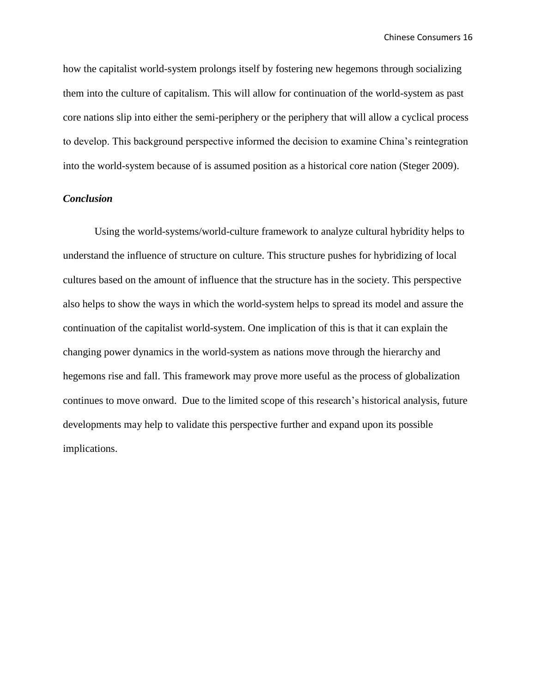how the capitalist world-system prolongs itself by fostering new hegemons through socializing them into the culture of capitalism. This will allow for continuation of the world-system as past core nations slip into either the semi-periphery or the periphery that will allow a cyclical process to develop. This background perspective informed the decision to examine China's reintegration into the world-system because of is assumed position as a historical core nation (Steger 2009).

# *Conclusion*

Using the world-systems/world-culture framework to analyze cultural hybridity helps to understand the influence of structure on culture. This structure pushes for hybridizing of local cultures based on the amount of influence that the structure has in the society. This perspective also helps to show the ways in which the world-system helps to spread its model and assure the continuation of the capitalist world-system. One implication of this is that it can explain the changing power dynamics in the world-system as nations move through the hierarchy and hegemons rise and fall. This framework may prove more useful as the process of globalization continues to move onward. Due to the limited scope of this research's historical analysis, future developments may help to validate this perspective further and expand upon its possible implications.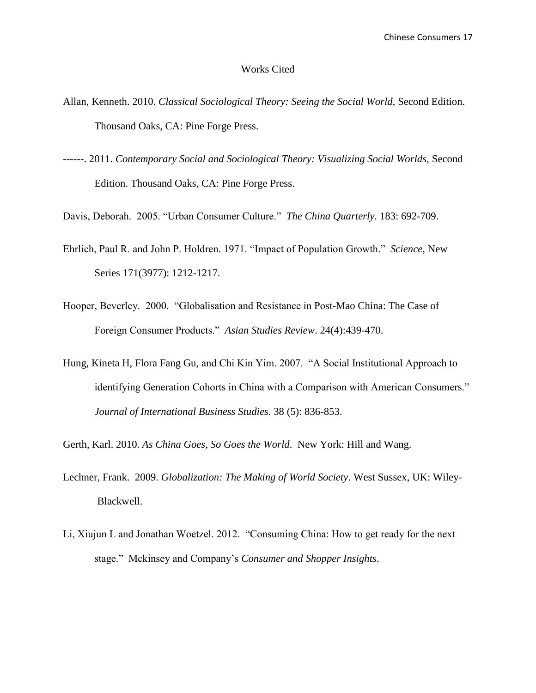#### Works Cited

- Allan, Kenneth. 2010. *Classical Sociological Theory: Seeing the Social World,* Second Edition. Thousand Oaks, CA: Pine Forge Press.
- ------. 2011. *Contemporary Social and Sociological Theory: Visualizing Social Worlds,* Second Edition. Thousand Oaks, CA: Pine Forge Press.
- Davis, Deborah. 2005. "Urban Consumer Culture." *The China Quarterly.* 183: 692-709.
- Ehrlich, Paul R. and John P. Holdren. 1971. "Impact of Population Growth." *Science,* New Series 171(3977): 1212-1217.
- Hooper, Beverley. 2000. "Globalisation and Resistance in Post-Mao China: The Case of Foreign Consumer Products." *Asian Studies Review*. 24(4):439-470.
- Hung, Kineta H, Flora Fang Gu, and Chi Kin Yim. 2007. "A Social Institutional Approach to identifying Generation Cohorts in China with a Comparison with American Consumers." *Journal of International Business Studies.* 38 (5): 836-853.
- Gerth, Karl. 2010. *As China Goes, So Goes the World*. New York: Hill and Wang.
- Lechner, Frank. 2009. *Globalization: The Making of World Society*. West Sussex, UK: Wiley-Blackwell.
- Li, Xiujun L and Jonathan Woetzel. 2012. "Consuming China: How to get ready for the next stage." Mckinsey and Company's *Consumer and Shopper Insights*.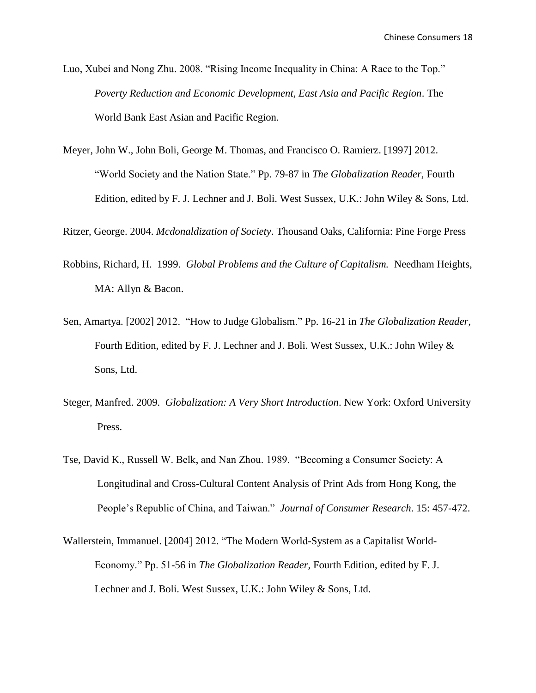Luo, Xubei and Nong Zhu. 2008. "Rising Income Inequality in China: A Race to the Top." *Poverty Reduction and Economic Development, East Asia and Pacific Region*. The World Bank East Asian and Pacific Region.

Meyer, John W., John Boli, George M. Thomas, and Francisco O. Ramierz. [1997] 2012. "World Society and the Nation State." Pp. 79-87 in *The Globalization Reader,* Fourth Edition, edited by F. J. Lechner and J. Boli. West Sussex, U.K.: John Wiley & Sons, Ltd.

Ritzer, George. 2004. *Mcdonaldization of Society*. Thousand Oaks, California: Pine Forge Press

- Robbins, Richard, H. 1999. *Global Problems and the Culture of Capitalism.* Needham Heights, MA: Allyn & Bacon.
- Sen, Amartya. [2002] 2012. "How to Judge Globalism." Pp. 16-21 in *The Globalization Reader,*  Fourth Edition, edited by F. J. Lechner and J. Boli. West Sussex, U.K.: John Wiley & Sons, Ltd.
- Steger, Manfred. 2009. *Globalization: A Very Short Introduction*. New York: Oxford University Press.
- Tse, David K., Russell W. Belk, and Nan Zhou. 1989. "Becoming a Consumer Society: A Longitudinal and Cross-Cultural Content Analysis of Print Ads from Hong Kong, the People's Republic of China, and Taiwan." *Journal of Consumer Research*. 15: 457-472.
- Wallerstein, Immanuel. [2004] 2012. "The Modern World-System as a Capitalist World-Economy." Pp. 51-56 in *The Globalization Reader,* Fourth Edition, edited by F. J. Lechner and J. Boli. West Sussex, U.K.: John Wiley & Sons, Ltd.